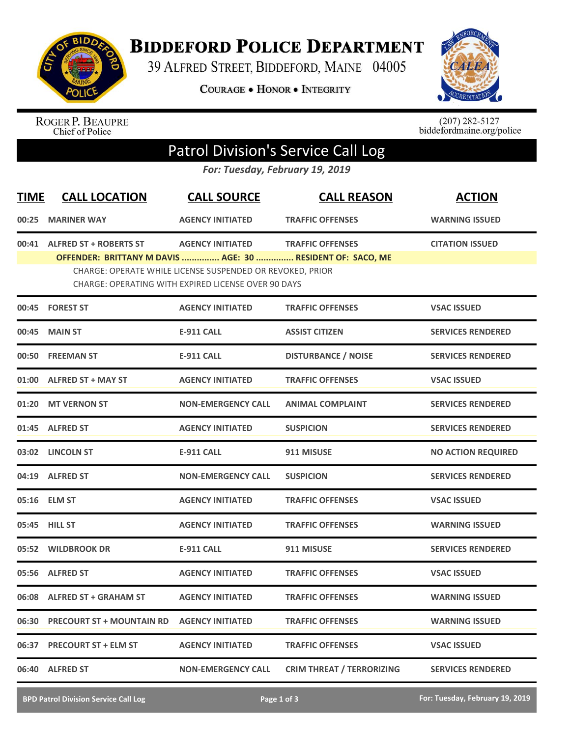

## **BIDDEFORD POLICE DEPARTMENT**

39 ALFRED STREET, BIDDEFORD, MAINE 04005

**COURAGE . HONOR . INTEGRITY** 



ROGER P. BEAUPRE<br>Chief of Police

 $(207)$  282-5127<br>biddefordmaine.org/police

## Patrol Division's Service Call Log

*For: Tuesday, February 19, 2019*

| <b>TIME</b> | <b>CALL LOCATION</b>                                                                        | <b>CALL SOURCE</b>                                                                                               | <b>CALL REASON</b>               | <b>ACTION</b>             |
|-------------|---------------------------------------------------------------------------------------------|------------------------------------------------------------------------------------------------------------------|----------------------------------|---------------------------|
| 00:25       | <b>MARINER WAY</b>                                                                          | <b>AGENCY INITIATED</b>                                                                                          | <b>TRAFFIC OFFENSES</b>          | <b>WARNING ISSUED</b>     |
| 00:41       | <b>ALFRED ST + ROBERTS ST</b><br>OFFENDER: BRITTANY M DAVIS  AGE: 30  RESIDENT OF: SACO, ME | <b>AGENCY INITIATED</b>                                                                                          | <b>TRAFFIC OFFENSES</b>          | <b>CITATION ISSUED</b>    |
|             |                                                                                             | CHARGE: OPERATE WHILE LICENSE SUSPENDED OR REVOKED, PRIOR<br>CHARGE: OPERATING WITH EXPIRED LICENSE OVER 90 DAYS |                                  |                           |
|             | 00:45 FOREST ST                                                                             | <b>AGENCY INITIATED</b>                                                                                          | <b>TRAFFIC OFFENSES</b>          | <b>VSAC ISSUED</b>        |
|             | 00:45 MAIN ST                                                                               | <b>E-911 CALL</b>                                                                                                | <b>ASSIST CITIZEN</b>            | <b>SERVICES RENDERED</b>  |
|             | 00:50 FREEMAN ST                                                                            | <b>E-911 CALL</b>                                                                                                | <b>DISTURBANCE / NOISE</b>       | <b>SERVICES RENDERED</b>  |
|             | 01:00 ALFRED ST + MAY ST                                                                    | <b>AGENCY INITIATED</b>                                                                                          | <b>TRAFFIC OFFENSES</b>          | <b>VSAC ISSUED</b>        |
|             | 01:20 MT VERNON ST                                                                          | <b>NON-EMERGENCY CALL</b>                                                                                        | <b>ANIMAL COMPLAINT</b>          | <b>SERVICES RENDERED</b>  |
|             | 01:45 ALFRED ST                                                                             | <b>AGENCY INITIATED</b>                                                                                          | <b>SUSPICION</b>                 | <b>SERVICES RENDERED</b>  |
|             | 03:02 LINCOLN ST                                                                            | <b>E-911 CALL</b>                                                                                                | 911 MISUSE                       | <b>NO ACTION REQUIRED</b> |
|             | 04:19 ALFRED ST                                                                             | <b>NON-EMERGENCY CALL</b>                                                                                        | <b>SUSPICION</b>                 | <b>SERVICES RENDERED</b>  |
|             | 05:16 ELM ST                                                                                | <b>AGENCY INITIATED</b>                                                                                          | <b>TRAFFIC OFFENSES</b>          | <b>VSAC ISSUED</b>        |
|             | 05:45 HILL ST                                                                               | <b>AGENCY INITIATED</b>                                                                                          | <b>TRAFFIC OFFENSES</b>          | <b>WARNING ISSUED</b>     |
|             | 05:52 WILDBROOK DR                                                                          | <b>E-911 CALL</b>                                                                                                | 911 MISUSE                       | <b>SERVICES RENDERED</b>  |
|             | 05:56 ALFRED ST                                                                             | <b>AGENCY INITIATED</b>                                                                                          | <b>TRAFFIC OFFENSES</b>          | <b>VSAC ISSUED</b>        |
|             | 06:08 ALFRED ST + GRAHAM ST                                                                 | <b>AGENCY INITIATED</b>                                                                                          | <b>TRAFFIC OFFENSES</b>          | <b>WARNING ISSUED</b>     |
|             | 06:30 PRECOURT ST + MOUNTAIN RD                                                             | <b>AGENCY INITIATED</b>                                                                                          | <b>TRAFFIC OFFENSES</b>          | <b>WARNING ISSUED</b>     |
| 06:37       | <b>PRECOURT ST + ELM ST</b>                                                                 | <b>AGENCY INITIATED</b>                                                                                          | <b>TRAFFIC OFFENSES</b>          | <b>VSAC ISSUED</b>        |
| 06:40       | <b>ALFRED ST</b>                                                                            | <b>NON-EMERGENCY CALL</b>                                                                                        | <b>CRIM THREAT / TERRORIZING</b> | <b>SERVICES RENDERED</b>  |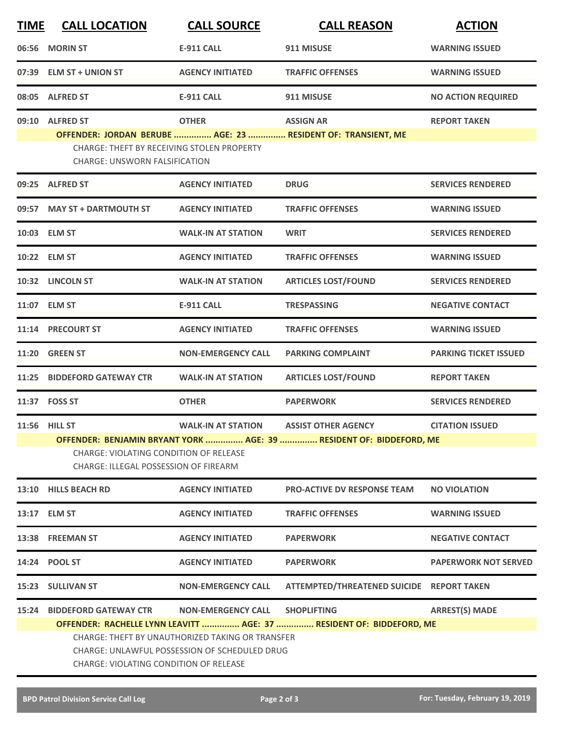| <b>TIME</b> | <b>CALL LOCATION</b>                                                                                                                                      | <b>CALL SOURCE</b>        | <b>CALL REASON</b>                                                                         | <b>ACTION</b>                |  |  |
|-------------|-----------------------------------------------------------------------------------------------------------------------------------------------------------|---------------------------|--------------------------------------------------------------------------------------------|------------------------------|--|--|
| 06:56       | <b>MORIN ST</b>                                                                                                                                           | <b>E-911 CALL</b>         | 911 MISUSE                                                                                 | <b>WARNING ISSUED</b>        |  |  |
| 07:39       | <b>ELM ST + UNION ST</b>                                                                                                                                  | <b>AGENCY INITIATED</b>   | <b>TRAFFIC OFFENSES</b>                                                                    | <b>WARNING ISSUED</b>        |  |  |
| 08:05       | <b>ALFRED ST</b>                                                                                                                                          | <b>E-911 CALL</b>         | 911 MISUSE                                                                                 | <b>NO ACTION REQUIRED</b>    |  |  |
| 09:10       | <b>ALFRED ST</b>                                                                                                                                          | <b>OTHER</b>              | <b>ASSIGN AR</b>                                                                           | <b>REPORT TAKEN</b>          |  |  |
|             | <b>CHARGE: THEFT BY RECEIVING STOLEN PROPERTY</b><br>CHARGE: UNSWORN FALSIFICATION                                                                        |                           | OFFENDER: JORDAN BERUBE  AGE: 23  RESIDENT OF: TRANSIENT, ME                               |                              |  |  |
|             | 09:25 ALFRED ST                                                                                                                                           | <b>AGENCY INITIATED</b>   | <b>DRUG</b>                                                                                | <b>SERVICES RENDERED</b>     |  |  |
|             | 09:57 MAY ST + DARTMOUTH ST                                                                                                                               | <b>AGENCY INITIATED</b>   | <b>TRAFFIC OFFENSES</b>                                                                    | <b>WARNING ISSUED</b>        |  |  |
|             | 10:03 ELM ST                                                                                                                                              | <b>WALK-IN AT STATION</b> | <b>WRIT</b>                                                                                | <b>SERVICES RENDERED</b>     |  |  |
|             | 10:22 ELM ST                                                                                                                                              | <b>AGENCY INITIATED</b>   | <b>TRAFFIC OFFENSES</b>                                                                    | <b>WARNING ISSUED</b>        |  |  |
|             | 10:32 LINCOLN ST                                                                                                                                          | <b>WALK-IN AT STATION</b> | <b>ARTICLES LOST/FOUND</b>                                                                 | <b>SERVICES RENDERED</b>     |  |  |
|             | 11:07 ELM ST                                                                                                                                              | <b>E-911 CALL</b>         | <b>TRESPASSING</b>                                                                         | <b>NEGATIVE CONTACT</b>      |  |  |
|             | 11:14 PRECOURT ST                                                                                                                                         | <b>AGENCY INITIATED</b>   | <b>TRAFFIC OFFENSES</b>                                                                    | <b>WARNING ISSUED</b>        |  |  |
| 11:20       | <b>GREEN ST</b>                                                                                                                                           | <b>NON-EMERGENCY CALL</b> | <b>PARKING COMPLAINT</b>                                                                   | <b>PARKING TICKET ISSUED</b> |  |  |
| 11:25       | <b>BIDDEFORD GATEWAY CTR</b>                                                                                                                              | <b>WALK-IN AT STATION</b> | <b>ARTICLES LOST/FOUND</b>                                                                 | <b>REPORT TAKEN</b>          |  |  |
|             | 11:37 FOSS ST                                                                                                                                             | <b>OTHER</b>              | <b>PAPERWORK</b>                                                                           | <b>SERVICES RENDERED</b>     |  |  |
|             | 11:56 HILL ST                                                                                                                                             | <b>WALK-IN AT STATION</b> | <b>ASSIST OTHER AGENCY</b>                                                                 | <b>CITATION ISSUED</b>       |  |  |
|             | OFFENDER: BENJAMIN BRYANT YORK  AGE: 39  RESIDENT OF: BIDDEFORD, ME<br>CHARGE: VIOLATING CONDITION OF RELEASE<br>CHARGE: ILLEGAL POSSESSION OF FIREARM    |                           |                                                                                            |                              |  |  |
|             | 13:10 HILLS BEACH RD                                                                                                                                      | <b>AGENCY INITIATED</b>   | <b>PRO-ACTIVE DV RESPONSE TEAM</b>                                                         | <b>NO VIOLATION</b>          |  |  |
|             | 13:17 ELM ST                                                                                                                                              | <b>AGENCY INITIATED</b>   | <b>TRAFFIC OFFENSES</b>                                                                    | <b>WARNING ISSUED</b>        |  |  |
|             | 13:38 FREEMAN ST                                                                                                                                          | <b>AGENCY INITIATED</b>   | <b>PAPERWORK</b>                                                                           | <b>NEGATIVE CONTACT</b>      |  |  |
|             | 14:24 POOL ST                                                                                                                                             | <b>AGENCY INITIATED</b>   | <b>PAPERWORK</b>                                                                           | <b>PAPERWORK NOT SERVED</b>  |  |  |
|             | 15:23 SULLIVAN ST                                                                                                                                         | <b>NON-EMERGENCY CALL</b> | ATTEMPTED/THREATENED SUICIDE REPORT TAKEN                                                  |                              |  |  |
|             | <b>15:24 BIDDEFORD GATEWAY CTR</b>                                                                                                                        | <b>NON-EMERGENCY CALL</b> | <b>SHOPLIFTING</b><br>OFFENDER: RACHELLE LYNN LEAVITT  AGE: 37  RESIDENT OF: BIDDEFORD, ME | <b>ARREST(S) MADE</b>        |  |  |
|             | <b>CHARGE: THEFT BY UNAUTHORIZED TAKING OR TRANSFER</b><br>CHARGE: UNLAWFUL POSSESSION OF SCHEDULED DRUG<br><b>CHARGE: VIOLATING CONDITION OF RELEASE</b> |                           |                                                                                            |                              |  |  |